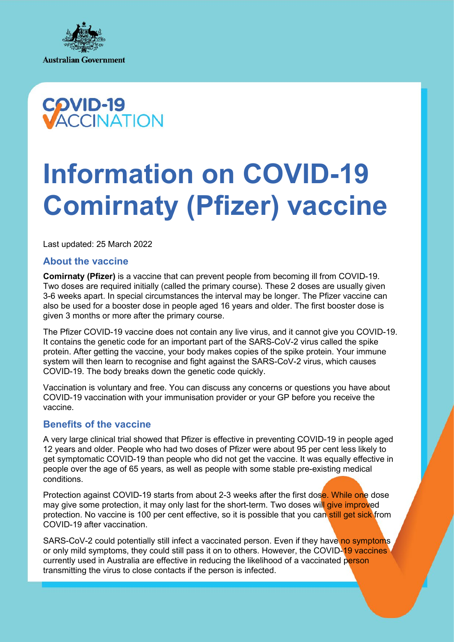



# **Information on COVID-19 Comirnaty (Pfizer) vaccine**

Last updated: 25 March 2022

## **About the vaccine**

**Comirnaty (Pfizer)** is a vaccine that can prevent people from becoming ill from COVID-19. Two doses are required initially (called the primary course). These 2 doses are usually given 3-6 weeks apart. In special circumstances the interval may be longer. The Pfizer vaccine can also be used for a booster dose in people aged 16 years and older. The first booster dose is given 3 months or more after the primary course.

The Pfizer COVID-19 vaccine does not contain any live virus, and it cannot give you COVID-19. It contains the genetic code for an important part of the SARS-CoV-2 virus called the spike protein. After getting the vaccine, your body makes copies of the spike protein. Your immune system will then learn to recognise and fight against the SARS-CoV-2 virus, which causes COVID-19. The body breaks down the genetic code quickly.

Vaccination is voluntary and free. You can discuss any concerns or questions you have about COVID-19 vaccination with your immunisation provider or your GP before you receive the vaccine.

## **Benefits of the vaccine**

A very large clinical trial showed that Pfizer is effective in preventing COVID-19 in people aged 12 years and older. People who had two doses of Pfizer were about 95 per cent less likely to get symptomatic COVID-19 than people who did not get the vaccine. It was equally effective in people over the age of 65 years, as well as people with some stable pre-existing medical conditions.

Protection against COVID-19 starts from about 2-3 weeks after the first dose. While one dose may give some protection, it may only last for the short-term. Two doses will give improved protection. No vaccine is 100 per cent effective, so it is possible that you can still get sick from COVID-19 after vaccination.

SARS-CoV-2 could potentially still infect a vaccinated person. Even if they have no symptoms or only mild symptoms, they could still pass it on to others. However, the COVID-19 vaccines currently used in Australia are effective in reducing the likelihood of a vaccinated person transmitting the virus to close contacts if the person is infected.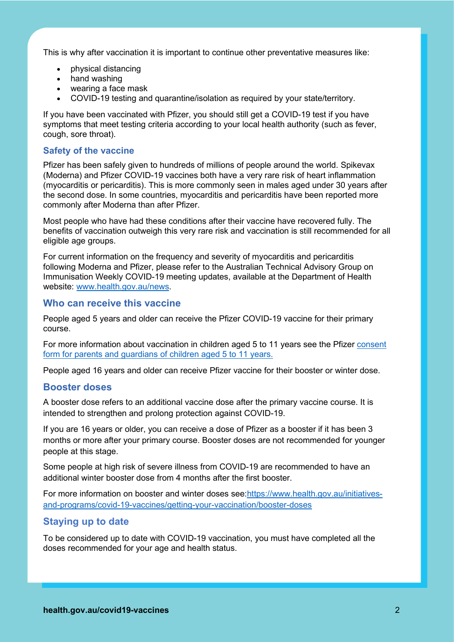This is why after vaccination it is important to continue other preventative measures like:

- physical distancing
- hand washing
- wearing a face mask
- COVID-19 testing and quarantine/isolation as required by your state/territory.

If you have been vaccinated with Pfizer, you should still get a COVID-19 test if you have symptoms that meet testing criteria according to your local health authority (such as fever, cough, sore throat).

## **Safety of the vaccine**

Pfizer has been safely given to hundreds of millions of people around the world. Spikevax (Moderna) and Pfizer COVID-19 vaccines both have a very rare risk of heart inflammation (myocarditis or pericarditis). This is more commonly seen in males aged under 30 years after the second dose. In some countries, myocarditis and pericarditis have been reported more commonly after Moderna than after Pfizer.

Most people who have had these conditions after their vaccine have recovered fully. The benefits of vaccination outweigh this very rare risk and vaccination is still recommended for all eligible age groups.

For current information on the frequency and severity of myocarditis and pericarditis following Moderna and Pfizer, please refer to the Australian Technical Advisory Group on Immunisation [Weekly COVID-19 meeting updates,](https://www.health.gov.au/committees-and-groups/australian-technical-advisory-group-on-immunisation-atagi#statements) available at the Department of Health website: [www.health.gov.au/news.](http://www.health.gov.au/news)

## **Who can receive this vaccine**

People aged 5 years and older can receive the Pfizer COVID-19 vaccine for their primary course.

For more information about vaccination in children aged 5 to 11 years see the Pfizer consent [form for parents and guardians of children aged 5 to 11 years.](https://www.health.gov.au/resources/collections/covid-19-vaccine-information-and-consent-form-for-parents-and-guardians-of-children-aged-5-to-11-years)

People aged 16 years and older can receive Pfizer vaccine for their booster or winter dose.

## **Booster doses**

A booster dose refers to an additional vaccine dose after the primary vaccine course. It is intended to strengthen and prolong protection against COVID-19.

If you are 16 years or older, you can receive a dose of Pfizer as a booster if it has been 3 months or more after your primary course. Booster doses are not recommended for younger people at this stage.

Some people at high risk of severe illness from COVID-19 are recommended to have an additional winter booster dose from 4 months after the first booster.

For more information on booster and winter doses see[:https://www.health.gov.au/initiatives](https://www.health.gov.au/initiatives-and-programs/covid-19-vaccines/getting-your-vaccination/booster-doses)[and-programs/covid-19-vaccines/getting-your-vaccination/booster-doses](https://www.health.gov.au/initiatives-and-programs/covid-19-vaccines/getting-your-vaccination/booster-doses)

## **Staying up to date**

To be considered up to date with COVID-19 vaccination, you must have completed all the doses recommended for your age and health status.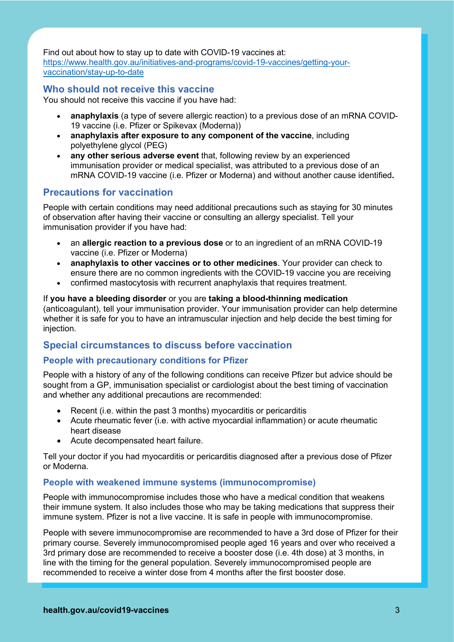Find out about how to stay up to date with COVID-19 vaccines at: [https://www.health.gov.au/initiatives-and-programs/covid-19-vaccines/getting-your](https://www.health.gov.au/initiatives-and-programs/covid-19-vaccines/getting-your-vaccination/stay-up-to-date)[vaccination/stay-up-to-date](https://www.health.gov.au/initiatives-and-programs/covid-19-vaccines/getting-your-vaccination/stay-up-to-date)

## **Who should not receive this vaccine**

You should not receive this vaccine if you have had:

- **anaphylaxis** (a type of severe allergic reaction) to a previous dose of an mRNA COVID-19 vaccine (i.e. Pfizer or Spikevax (Moderna))
- **anaphylaxis after exposure to any component of the vaccine**, including polyethylene glycol (PEG)
- **any other serious adverse event** that, following review by an experienced immunisation provider or medical specialist, was attributed to a previous dose of an mRNA COVID-19 vaccine (i.e. Pfizer or Moderna) and without another cause identified**.**

# **Precautions for vaccination**

People with certain conditions may need additional precautions such as staying for 30 minutes of observation after having their vaccine or consulting an allergy specialist. Tell your immunisation provider if you have had:

- an **allergic reaction to a previous dose** or to an ingredient of an mRNA COVID-19 vaccine (i.e. Pfizer or Moderna)
- **anaphylaxis to other vaccines or to other medicines**. Your provider can check to ensure there are no common ingredients with the COVID-19 vaccine you are receiving
- confirmed mastocytosis with recurrent anaphylaxis that requires treatment.

If **you have a bleeding disorder** or you are **taking a blood-thinning medication**  (anticoagulant), tell your immunisation provider. Your immunisation provider can help determine whether it is safe for you to have an intramuscular injection and help decide the best timing for injection.

# **Special circumstances to discuss before vaccination**

## **People with precautionary conditions for Pfizer**

People with a history of any of the following conditions can receive Pfizer but advice should be sought from a GP, immunisation specialist or cardiologist about the best timing of vaccination and whether any additional precautions are recommended:

- Recent (i.e. within the past 3 months) myocarditis or pericarditis
- Acute rheumatic fever (i.e. with active myocardial inflammation) or acute rheumatic heart disease
- Acute decompensated heart failure.

Tell your doctor if you had myocarditis or pericarditis diagnosed after a previous dose of Pfizer or Moderna.

## **People with weakened immune systems (immunocompromise)**

People with immunocompromise includes those who have a medical condition that weakens their immune system. It also includes those who may be taking medications that suppress their immune system. Pfizer is not a live vaccine. It is safe in people with immunocompromise.

People with severe immunocompromise are recommended to have a 3rd dose of Pfizer for their primary course. Severely immunocompromised people aged 16 years and over who received a 3rd primary dose are recommended to receive a booster dose (i.e. 4th dose) at 3 months, in line with the timing for the general population. Severely immunocompromised people are recommended to receive a winter dose from 4 months after the first booster dose.